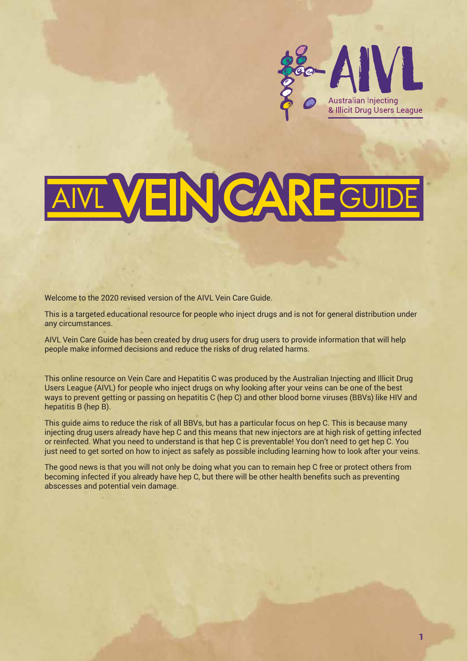

# VEIN CAR

Welcome to the 2020 revised version of the AIVL Vein Care Guide.

This is a targeted educational resource for people who inject drugs and is not for general distribution under any circumstances.

AIVL Vein Care Guide has been created by drug users for drug users to provide information that will help people make informed decisions and reduce the risks of drug related harms.

This online resource on Vein Care and Hepatitis C was produced by the Australian Injecting and Illicit Drug Users League (AIVL) for people who inject drugs on why looking after your veins can be one of the best ways to prevent getting or passing on hepatitis C (hep C) and other blood borne viruses (BBVs) like HIV and hepatitis B (hep B).

This guide aims to reduce the risk of all BBVs, but has a particular focus on hep C. This is because many injecting drug users already have hep C and this means that new injectors are at high risk of getting infected or reinfected. What you need to understand is that hep C is preventable! You don't need to get hep C. You just need to get sorted on how to inject as safely as possible including learning how to look after your veins.

The good news is that you will not only be doing what you can to remain hep C free or protect others from becoming infected if you already have hep C, but there will be other health benefits such as preventing abscesses and potential vein damage.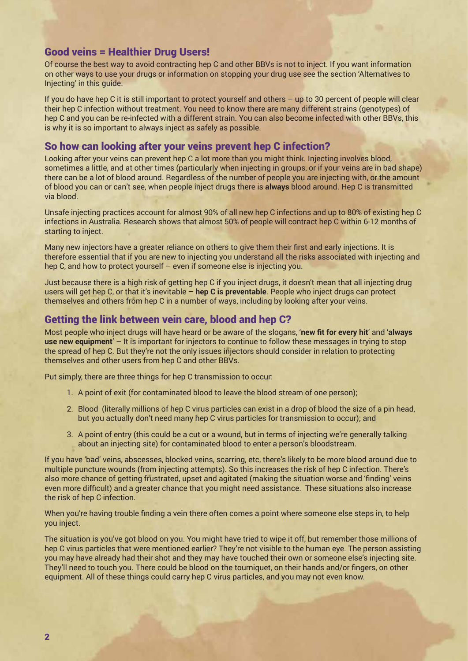#### Good veins = Healthier Drug Users!

Of course the best way to avoid contracting hep C and other BBVs is not to inject. If you want information on other ways to use your drugs or information on stopping your drug use see the section 'Alternatives to Injecting' in this guide.

If you do have hep C it is still important to protect yourself and others – up to 30 percent of people will clear their hep C infection without treatment. You need to know there are many different strains (genotypes) of hep C and you can be re-infected with a different strain. You can also become infected with other BBVs, this is why it is so important to always inject as safely as possible.

# So how can looking after your veins prevent hep C infection?

Looking after your veins can prevent hep C a lot more than you might think. Injecting involves blood, sometimes a little, and at other times (particularly when injecting in groups, or if your veins are in bad shape) there can be a lot of blood around. Regardless of the number of people you are injecting with, or the amount of blood you can or can't see, when people inject drugs there is **always** blood around. Hep C is transmitted via blood.

Unsafe injecting practices account for almost 90% of all new hep C infections and up to 80% of existing hep C infections in Australia. Research shows that almost 50% of people will contract hep C within 6-12 months of starting to inject.

Many new injectors have a greater reliance on others to give them their first and early injections. It is therefore essential that if you are new to injecting you understand all the risks associated with injecting and hep C, and how to protect yourself – even if someone else is injecting you.

Just because there is a high risk of getting hep C if you inject drugs, it doesn't mean that all injecting drug users will get hep C, or that it's inevitable – **hep C is preventable**. People who inject drugs can protect themselves and others from hep C in a number of ways, including by looking after your veins.

## Getting the link between vein care, blood and hep C?

Most people who inject drugs will have heard or be aware of the slogans, '**new fit for every hit**' and '**always use new equipment**' – It is important for injectors to continue to follow these messages in trying to stop the spread of hep C. But they're not the only issues injectors should consider in relation to protecting themselves and other users from hep C and other BBVs.

Put simply, there are three things for hep C transmission to occur:

- 1. A point of exit (for contaminated blood to leave the blood stream of one person);
- 2. Blood (literally millions of hep C virus particles can exist in a drop of blood the size of a pin head, but you actually don't need many hep C virus particles for transmission to occur); and
- 3. A point of entry (this could be a cut or a wound, but in terms of injecting we're generally talking about an injecting site) for contaminated blood to enter a person's bloodstream.

If you have 'bad' veins, abscesses, blocked veins, scarring, etc, there's likely to be more blood around due to multiple puncture wounds (from injecting attempts). So this increases the risk of hep C infection. There's also more chance of getting frustrated, upset and agitated (making the situation worse and 'finding' veins even more difficult) and a greater chance that you might need assistance. These situations also increase the risk of hep C infection.

When you're having trouble finding a vein there often comes a point where someone else steps in, to help you inject.

The situation is you've got blood on you. You might have tried to wipe it off, but remember those millions of hep C virus particles that were mentioned earlier? They're not visible to the human eye. The person assisting you may have already had their shot and they may have touched their own or someone else's injecting site. They'll need to touch you. There could be blood on the tourniquet, on their hands and/or fingers, on other equipment. All of these things could carry hep C virus particles, and you may not even know.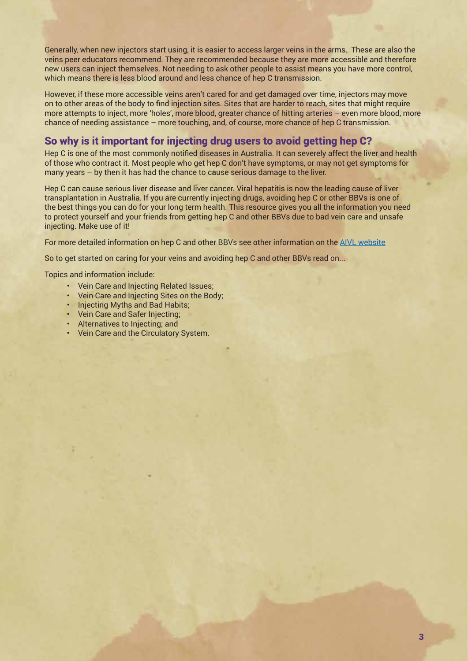Generally, when new injectors start using, it is easier to access larger veins in the arms. These are also the veins peer educators recommend. They are recommended because they are more accessible and therefore new users can inject themselves. Not needing to ask other people to assist means you have more control, which means there is less blood around and less chance of hep C transmission.

However, if these more accessible veins aren't cared for and get damaged over time, injectors may move on to other areas of the body to find injection sites. Sites that are harder to reach, sites that might require more attempts to inject, more 'holes', more blood, greater chance of hitting arteries – even more blood, more chance of needing assistance – more touching, and, of course, more chance of hep C transmission.

#### So why is it important for injecting drug users to avoid getting hep C?

Hep C is one of the most commonly notified diseases in Australia. It can severely affect the liver and health of those who contract it. Most people who get hep C don't have symptoms, or may not get symptoms for many years – by then it has had the chance to cause serious damage to the liver.

Hep C can cause serious liver disease and liver cancer. Viral hepatitis is now the leading cause of liver transplantation in Australia. If you are currently injecting drugs, avoiding hep C or other BBVs is one of the best things you can do for your long term health. This resource gives you all the information you need to protect yourself and your friends from getting hep C and other BBVs due to bad vein care and unsafe injecting. Make use of it!

For more detailed information on hep C and other BBVs see other information on the AIVL website

So to get started on caring for your veins and avoiding hep C and other BBVs read on...

Topics and information include:

- Vein Care and Injecting Related Issues;
- Vein Care and Injecting Sites on the Body;
- Injecting Myths and Bad Habits;
- Vein Care and Safer Injecting;
- Alternatives to Injecting; and
- Vein Care and the Circulatory System.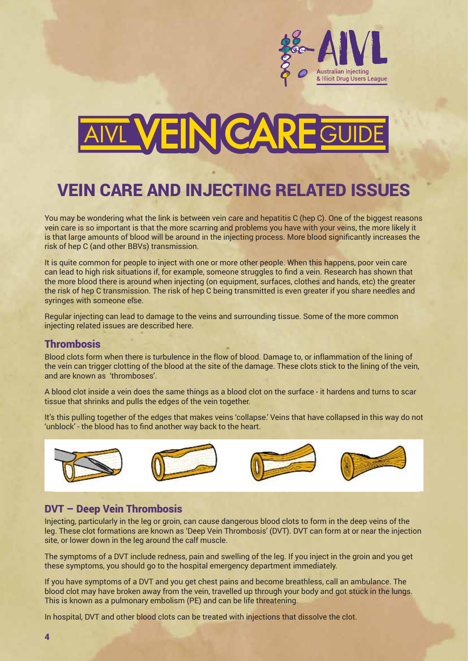

# **VEIN CAR**

# VEIN CARE AND INJECTING RELATED ISSUES VEIN CARE and INJECTING RELATED ISSUES

You may be wondering what the link is between vein care and hepatitis C (hep C). One of the biggest reasons vein care is so important is that the more scarring and problems you have with your veins, the more likely it is that large amounts of blood will be around in the injecting process. More blood significantly increases the  $r$  risk of hep C (and other BBVs) transmission.

It is quite common for people to inject with one or more other people. When this happens, poor vein care can lead to high risk situations if, for example, someone struggles to find a vein. Research has shown that the more blood there is around when injecting (on equipment, surfaces, clothes and hands, etc) the greater the risk of hep C transmission. The risk of hep C being transmitted is even greater if you share needles and syringes with someone else. risk of hep C being transmitted is even greater if you share needles and syringes with someone else.

Regular injecting can lead to damage to the veins and surrounding tissue. Some of the more common injecting related issues are described here.

## Thrombosis **Thrombosis**

Blood clots form when there is turbulence in the flow of blood. Damage to, or inflammation of the lining of the vein can trigger clotting of the blood at the site of the damage. These clots stick to the lining of the vein, and are known as 'thromboses'. 'thromboses'.

A blood clot inside a vein does the same things as a blood clot on the surface - it hardens and turns to scar tissue that shrinks and pulls the edges of the vein together.

It's this pulling together of the edges that makes veins 'collapse.' Veins that have collapsed in this way do not 'unblock' - the blood has to find another way back to the heart. the blood has to find another way back to the heart.



# DVT – Deep Vein Thrombosis **DVT – Deep Vein Thrombosis**

Injecting, particularly in the leg or groin, can cause dangerous blood clots to form in the deep veins of the leg. These clot formations are known as 'Deep Vein Thrombosis' (DVT). DVT can form at or near the injection site, or lower down in the leg around the calf muscle.

The symptoms of a DVT include redness, pain and swelling of the leg. If you inject in the groin and you get these symptoms, you should go to the hospital emergency department immediately. symptoms, you should go to the hospital emergency department immediately.

If you have symptoms of a DVT and you get chest pains and become breathless, call an ambulance. The If you have symptoms of a DVT and you get chest pains and become breathless, call an ambulance. The blood clot may have broken away from the vein, travelled up through your body and got stuck in the lungs. mode broken ay frace broken away from the vein, travelled up through your body and got stuck in the lungs. This is known as a pulmonary embolism (PE) and can be life threatening. pulmonary embolism (PE) and can be life threatening.

In hospital, DVT and other blood clots can be treated with injections that dissolve the clot.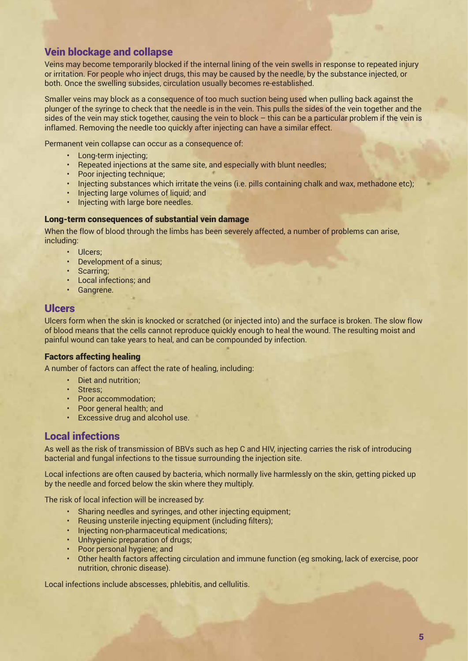# Vein blockage and collapse

Veins may become temporarily blocked if the internal lining of the vein swells in response to repeated injury or irritation. For people who inject drugs, this may be caused by the needle, by the substance injected, or both. Once the swelling subsides, circulation usually becomes re-established.

Smaller veins may block as a consequence of too much suction being used when pulling back against the plunger of the syringe to check that the needle is in the vein. This pulls the sides of the vein together and the sides of the vein may stick together, causing the vein to block – this can be a particular problem if the vein is inflamed. Removing the needle too quickly after injecting can have a similar effect.

Permanent vein collapse can occur as a consequence of:

- Long-term injecting;
- Repeated injections at the same site, and especially with blunt needles;
- Poor injecting technique;
- Injecting substances which irritate the veins (i.e. pills containing chalk and wax, methadone etc);
- Injecting large volumes of liquid; and
- Injecting with large bore needles.

#### Long-term consequences of substantial vein damage

When the flow of blood through the limbs has been severely affected, a number of problems can arise, including:

- Ulcers;
- Development of a sinus;
- Scarring;
- Local infections; and
- Gangrene.

#### Ulcers

Ulcers form when the skin is knocked or scratched (or injected into) and the surface is broken. The slow flow of blood means that the cells cannot reproduce quickly enough to heal the wound. The resulting moist and painful wound can take years to heal, and can be compounded by infection.

#### Factors affecting healing

A number of factors can affect the rate of healing, including:

- Diet and nutrition;
- Stress;
- Poor accommodation;
- Poor general health; and
- Excessive drug and alcohol use.

## Local infections

As well as the risk of transmission of BBVs such as hep C and HIV, injecting carries the risk of introducing bacterial and fungal infections to the tissue surrounding the injection site.

Local infections are often caused by bacteria, which normally live harmlessly on the skin, getting picked up by the needle and forced below the skin where they multiply.

The risk of local infection will be increased by:

- Sharing needles and syringes, and other injecting equipment;
- Reusing unsterile injecting equipment (including filters);
- Injecting non-pharmaceutical medications;
- Unhygienic preparation of drugs;
- Poor personal hygiene; and
- Other health factors affecting circulation and immune function (eg smoking, lack of exercise, poor nutrition, chronic disease).

Local infections include abscesses, phlebitis, and cellulitis.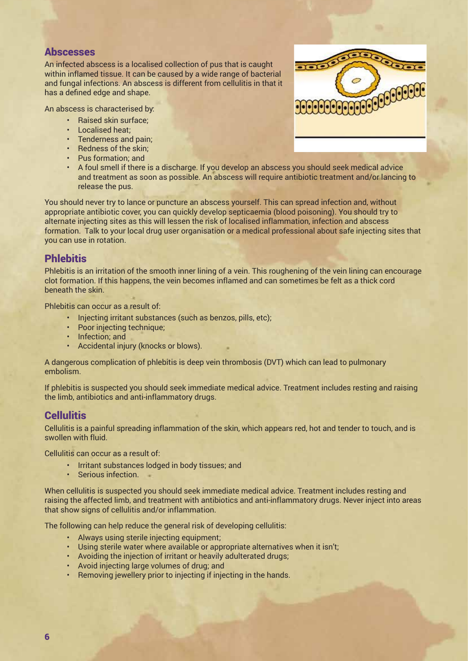#### Abscesses

An infected abscess is a localised collection of pus that is caught within inflamed tissue. It can be caused by a wide range of bacterial and fungal infections. An abscess is different from cellulitis in that it has a defined edge and shape.

An abscess is characterised by:

- Raised skin surface;
- Localised heat;
- Tenderness and pain;
- Redness of the skin;
- Pus formation; and



• A foul smell if there is a discharge. If you develop an abscess you should seek medical advice and treatment as soon as possible. An abscess will require antibiotic treatment and/or lancing to release the pus. • Localised heat;

.<br>You should never try to lance or puncture an abscess yourself. This can spread infection and, without rou should never try to lance or puncture an abscess yoursen. This can spread infection and, without<br>appropriate antibiotic cover, you can quickly develop septicaemia (blood poisoning). You should try to appropriate antibiotic covel, you can quickly develop septicaemia (blood poisoning). Tou should try<br>alternate injecting sites as this will lessen the risk of localised inflammation, infection and abscess afternate injecting sites as this will lessen the risk or localised imfammation, infection and abscess<br>formation. Talk to your local drug user organisation or a medical professional about safe injecting sites that you can use in rotation.

# **Phlebitis**

Phlebitis is an irritation of the smooth inner lining of a vein. This roughening of the vein lining can encourage clot formation. If this happens, the vein becomes inflamed and can sometimes be felt as a thick cord beneath the skin.

Phlebitis can occur as a result of:

- Injecting irritant substances (such as benzos, pills, etc);
- Poor injecting technique;
- Infection; and
- Accidental injury (knocks or blows).

A dangerous complication of phlebitis is deep vein thrombosis (DVT) which can lead to pulmonary embolism.

If phlebitis is suspected you should seek immediate medical advice. Treatment includes resting and raising the limb, antibiotics and anti-inflammatory drugs.

# **Cellulitis**

Cellulitis is a painful spreading inflammation of the skin, which appears red, hot and tender to touch, and is swollen with fluid.

Cellulitis can occur as a result of:

- Irritant substances lodged in body tissues; and
- Serious infection.

When cellulitis is suspected you should seek immediate medical advice. Treatment includes resting and raising the affected limb, and treatment with antibiotics and anti-inflammatory drugs. Never inject into areas that show signs of cellulitis and/or inflammation.

The following can help reduce the general risk of developing cellulitis:

- Always using sterile injecting equipment:
- Using sterile water where available or appropriate alternatives when it isn't;
- Avoiding the injection of irritant or heavily adulterated drugs;
- Avoid injecting large volumes of drug; and
- Removing jewellery prior to injecting if injecting in the hands.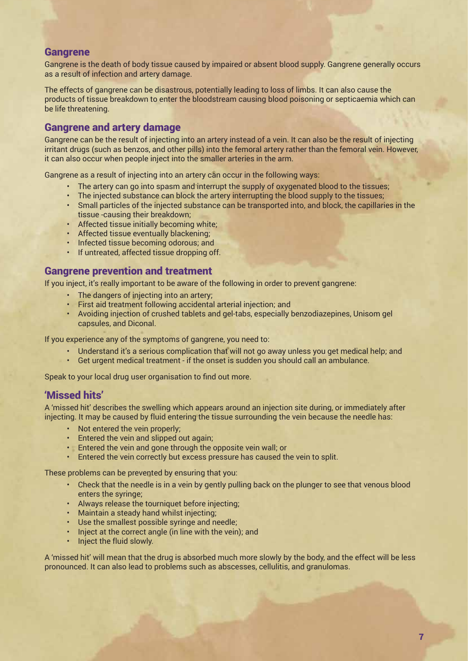#### **Gangrene**

Gangrene is the death of body tissue caused by impaired or absent blood supply. Gangrene generally occurs as a result of infection and artery damage.

The effects of gangrene can be disastrous, potentially leading to loss of limbs. It can also cause the products of tissue breakdown to enter the bloodstream causing blood poisoning or septicaemia which can be life threatening.

#### Gangrene and artery damage

Gangrene can be the result of injecting into an artery instead of a vein. It can also be the result of injecting irritant drugs (such as benzos, and other pills) into the femoral artery rather than the femoral vein. However, it can also occur when people inject into the smaller arteries in the arm.

Gangrene as a result of injecting into an artery can occur in the following ways:

- The artery can go into spasm and interrupt the supply of oxygenated blood to the tissues;
- The injected substance can block the artery interrupting the blood supply to the tissues;
- Small particles of the injected substance can be transported into, and block, the capillaries in the tissue -causing their breakdown;
- Affected tissue initially becoming white;
- Affected tissue eventually blackening;
- Infected tissue becoming odorous; and
- If untreated, affected tissue dropping off.

#### Gangrene prevention and treatment

If you inject, it's really important to be aware of the following in order to prevent gangrene:

- The dangers of injecting into an artery;
- First aid treatment following accidental arterial injection; and
- Avoiding injection of crushed tablets and gel-tabs, especially benzodiazepines, Unisom gel capsules, and Diconal.

If you experience any of the symptoms of gangrene, you need to:

- Understand it's a serious complication that will not go away unless you get medical help; and
- Get urgent medical treatment if the onset is sudden you should call an ambulance.

Speak to your local drug user organisation to find out more.

## 'Missed hits'

A 'missed hit' describes the swelling which appears around an injection site during, or immediately after injecting. It may be caused by fluid entering the tissue surrounding the vein because the needle has:

- Not entered the vein properly;
- Entered the vein and slipped out again;
- Entered the vein and gone through the opposite vein wall; or
- Entered the vein correctly but excess pressure has caused the vein to split.

These problems can be prevented by ensuring that you:

- Check that the needle is in a vein by gently pulling back on the plunger to see that venous blood enters the syringe;
- Always release the tourniquet before injecting;
- Maintain a steady hand whilst injecting;
- Use the smallest possible syringe and needle;
- Inject at the correct angle (in line with the vein); and
- Inject the fluid slowly.

A 'missed hit' will mean that the drug is absorbed much more slowly by the body, and the effect will be less pronounced. It can also lead to problems such as abscesses, cellulitis, and granulomas.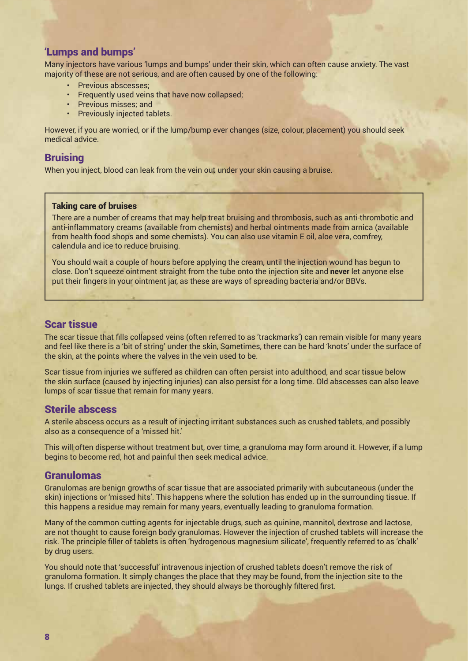#### 'Lumps and bumps'

Many injectors have various 'lumps and bumps' under their skin, which can often cause anxiety. The vast majority of these are not serious, and are often caused by one of the following:

- Previous abscesses;
- Frequently used veins that have now collapsed;
- Previous misses; and
- Previously injected tablets.

However, if you are worried, or if the lump/bump ever changes (size, colour, placement) you should seek medical advice.

#### **Bruising**

When you inject, blood can leak from the vein out under your skin causing a bruise.

#### Taking care of bruises

There are a number of creams that may help treat bruising and thrombosis, such as anti-thrombotic and anti-inflammatory creams (available from chemists) and herbal ointments made from arnica (available from health food shops and some chemists). You can also use vitamin E oil, aloe vera, comfrey, calendula and ice to reduce bruising.

You should wait a couple of hours before applying the cream, until the injection wound has begun to close. Don't squeeze ointment straight from the tube onto the injection site and **never** let anyone else put their fingers in your ointment jar, as these are ways of spreading bacteria and/or BBVs.

#### Scar tissue

The scar tissue that fills collapsed veins (often referred to as 'trackmarks') can remain visible for many years and feel like there is a 'bit of string' under the skin, Sometimes, there can be hard 'knots' under the surface of the skin, at the points where the valves in the vein used to be.

Scar tissue from injuries we suffered as children can often persist into adulthood, and scar tissue below the skin surface (caused by injecting injuries) can also persist for a long time. Old abscesses can also leave lumps of scar tissue that remain for many years.

#### Sterile abscess

A sterile abscess occurs as a result of injecting irritant substances such as crushed tablets, and possibly also as a consequence of a 'missed hit.'

This will often disperse without treatment but, over time, a granuloma may form around it. However, if a lump begins to become red, hot and painful then seek medical advice.

#### Granulomas

Granulomas are benign growths of scar tissue that are associated primarily with subcutaneous (under the skin) injections or 'missed hits'. This happens where the solution has ended up in the surrounding tissue. If this happens a residue may remain for many years, eventually leading to granuloma formation.

Many of the common cutting agents for injectable drugs, such as quinine, mannitol, dextrose and lactose, are not thought to cause foreign body granulomas. However the injection of crushed tablets will increase the risk. The principle filler of tablets is often 'hydrogenous magnesium silicate', frequently referred to as 'chalk' by drug users.

You should note that 'successful' intravenous injection of crushed tablets doesn't remove the risk of granuloma formation. It simply changes the place that they may be found, from the injection site to the lungs. If crushed tablets are injected, they should always be thoroughly filtered first.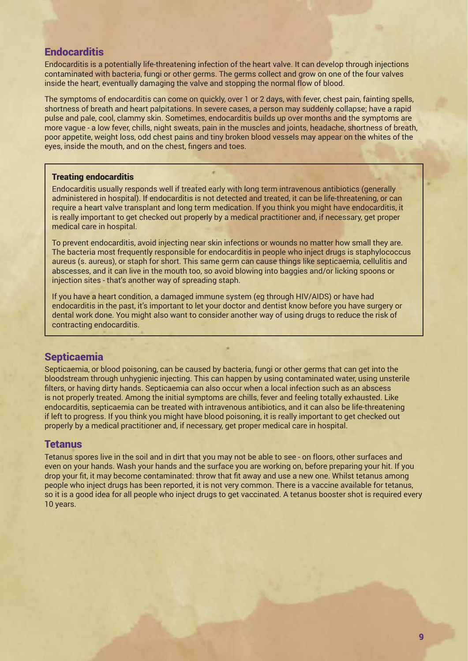#### **Endocarditis**

Endocarditis is a potentially life-threatening infection of the heart valve. It can develop through injections contaminated with bacteria, fungi or other germs. The germs collect and grow on one of the four valves inside the heart, eventually damaging the valve and stopping the normal flow of blood.

The symptoms of endocarditis can come on quickly, over 1 or 2 days, with fever, chest pain, fainting spells, shortness of breath and heart palpitations. In severe cases, a person may suddenly collapse; have a rapid pulse and pale, cool, clammy skin. Sometimes, endocarditis builds up over months and the symptoms are more vague - a low fever, chills, night sweats, pain in the muscles and joints, headache, shortness of breath, poor appetite, weight loss, odd chest pains and tiny broken blood vessels may appear on the whites of the eyes, inside the mouth, and on the chest, fingers and toes.

#### Treating endocarditis

Endocarditis usually responds well if treated early with long term intravenous antibiotics (generally administered in hospital). If endocarditis is not detected and treated, it can be life-threatening, or can require a heart valve transplant and long term medication. If you think you might have endocarditis, it is really important to get checked out properly by a medical practitioner and, if necessary, get proper medical care in hospital.

To prevent endocarditis, avoid injecting near skin infections or wounds no matter how small they are. The bacteria most frequently responsible for endocarditis in people who inject drugs is staphylococcus aureus (s. aureus), or staph for short. This same germ can cause things like septicaemia, cellulitis and abscesses, and it can live in the mouth too, so avoid blowing into baggies and/or licking spoons or injection sites - that's another way of spreading staph.

If you have a heart condition, a damaged immune system (eg through HIV/AIDS) or have had endocarditis in the past, it's important to let your doctor and dentist know before you have surgery or dental work done. You might also want to consider another way of using drugs to reduce the risk of contracting endocarditis.

## **Septicaemia**

Septicaemia, or blood poisoning, can be caused by bacteria, fungi or other germs that can get into the bloodstream through unhygienic injecting. This can happen by using contaminated water, using unsterile filters, or having dirty hands. Septicaemia can also occur when a local infection such as an abscess is not properly treated. Among the initial symptoms are chills, fever and feeling totally exhausted. Like endocarditis, septicaemia can be treated with intravenous antibiotics, and it can also be life-threatening if left to progress. If you think you might have blood poisoning, it is really important to get checked out properly by a medical practitioner and, if necessary, get proper medical care in hospital.

#### **Tetanus**

Tetanus spores live in the soil and in dirt that you may not be able to see - on floors, other surfaces and even on your hands. Wash your hands and the surface you are working on, before preparing your hit. If you drop your fit, it may become contaminated: throw that fit away and use a new one. Whilst tetanus among people who inject drugs has been reported, it is not very common. There is a vaccine available for tetanus, so it is a good idea for all people who inject drugs to get vaccinated. A tetanus booster shot is required every 10 years.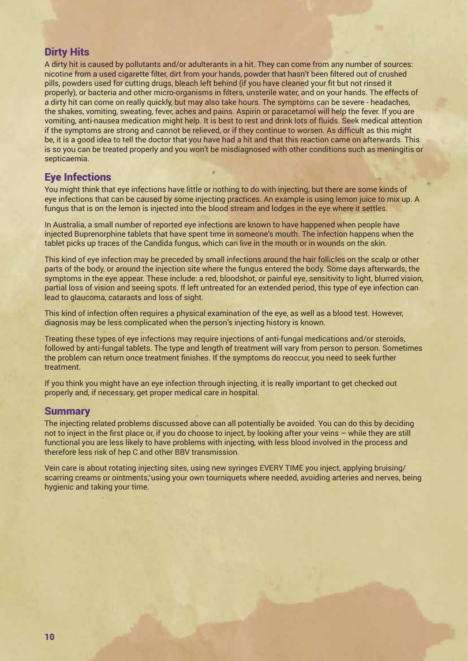## Dirty Hits

A dirty hit is caused by pollutants and/or adulterants in a hit. They can come from any number of sources: nicotine from a used cigarette filter, dirt from your hands, powder that hasn't been filtered out of crushed pills, powders used for cutting drugs, bleach left behind (if you have cleaned your fit but not rinsed it properly), or bacteria and other micro-organisms in filters, unsterile water, and on your hands. The effects of a dirty hit can come on really quickly, but may also take hours. The symptoms can be severe - headaches, the shakes, vomiting, sweating, fever, aches and pains. Aspirin or paracetamol will help the fever. If you are vomiting, anti-nausea medication might help. It is best to rest and drink lots of fluids. Seek medical attention if the symptoms are strong and cannot be relieved, or if they continue to worsen. As difficult as this might be, it is a good idea to tell the doctor that you have had a hit and that this reaction came on afterwards. This is so you can be treated properly and you won't be misdiagnosed with other conditions such as meningitis or septicaemia.

## Eye Infections

You might think that eye infections have little or nothing to do with injecting, but there are some kinds of eye infections that can be caused by some injecting practices. An example is using lemon juice to mix up. A fungus that is on the lemon is injected into the blood stream and lodges in the eye where it settles.

In Australia, a small number of reported eye infections are known to have happened when people have injected Buprenorphine tablets that have spent time in someone's mouth. The infection happens when the tablet picks up traces of the Candida fungus, which can live in the mouth or in wounds on the skin.

This kind of eye infection may be preceded by small infections around the hair follicles on the scalp or other parts of the body, or around the injection site where the fungus entered the body. Some days afterwards, the symptoms in the eye appear. These include: a red, bloodshot, or painful eye, sensitivity to light, blurred vision, partial loss of vision and seeing spots. If left untreated for an extended period, this type of eye infection can lead to glaucoma, cataracts and loss of sight.

This kind of infection often requires a physical examination of the eye, as well as a blood test. However, diagnosis may be less complicated when the person's injecting history is known.

Treating these types of eye infections may require injections of anti-fungal medications and/or steroids, followed by anti-fungal tablets. The type and length of treatment will vary from person to person. Sometimes the problem can return once treatment finishes. If the symptoms do reoccur, you need to seek further treatment.

If you think you might have an eye infection through injecting, it is really important to get checked out properly and, if necessary, get proper medical care in hospital.

#### **Summary**

The injecting related problems discussed above can all potentially be avoided. You can do this by deciding not to inject in the first place or, if you do choose to inject, by looking after your veins – while they are still functional you are less likely to have problems with injecting, with less blood involved in the process and therefore less risk of hep C and other BBV transmission.

Vein care is about rotating injecting sites, using new syringes EVERY TIME you inject, applying bruising/ scarring creams or ointments, using your own tourniquets where needed, avoiding arteries and nerves, being hygienic and taking your time.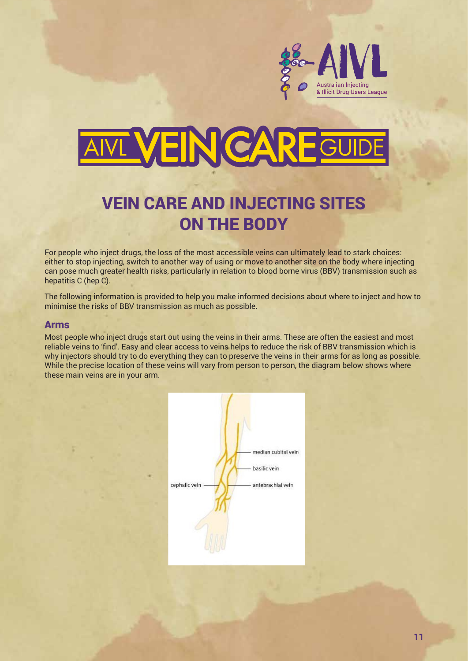

# VEIN CAREGU

# VEIN CARE AND INJECTING SITES ON THE BODY VEIN CARE and INJECTING SITES ON THE BODY

For people who inject drugs, the loss of the most accessible veins can ultimately lead to stark choices: either to stop injecting, switch to another way of using or move to another site on the body where injecting entier to stop injecting, switch to another way or using or move to another site on the body where injecting<br>can pose much greater health risks, particularly in relation to blood borne virus (BBV) transmission such as hepatitis C (hep C). can pose much greater health has been culturally in relation to blood borne virus (BBV) transmission such as  $h$  rispatitis C (hep C). The borne virus (BBV) transmission such as hepatitis  $\mathcal{L}_h$  (hep C).

The following information is provided to help you make informed decisions about where to inject and how to The following information is provided to help you make informed decisions about where to inject and how to minimise the risks of BBV transmission as much as possible. the risks of BBV transmission as much as possible.

#### Arms

Most people who inject drugs start out using the veins in their arms. These are often the easiest and most **Arms** reliable veins to 'find'. Easy and clear access to veins helps to reduce the risk of BBV transmission which is why injectors should try to do everything they can to preserve the veins in their arms for as long as possible. While the precise location of these veins will vary from person to present, the diagram below shows where these main veins are in your arm. veine the precise location of these vehis will vary from person to person, the diagram below shows where the contract  $\frac{1}{2}$ 

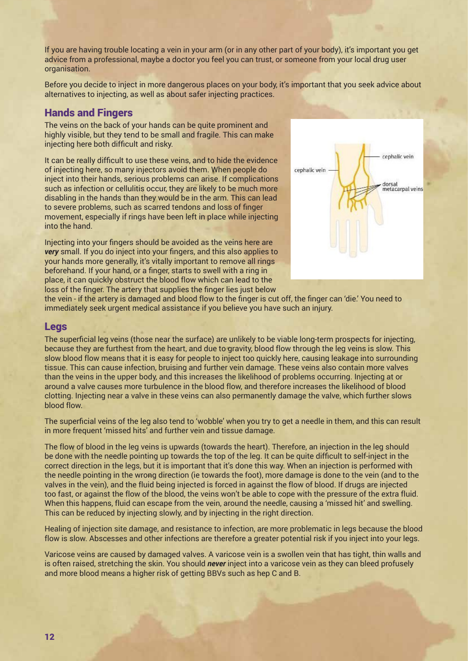If you are having trouble locating a vein in your arm (or in any other part of your body), it's important you get advice from a professional, maybe a doctor you feel you can trust, or someone from your local drug user organisation.

Before you decide to inject in more dangerous places on your body, it's important that you seek advice about alternatives to injecting, as well as about safer injecting practices.

#### Hands and Fingers

The veins on the back of your hands can be quite prominent and highly visible, but they tend to be small and fragile. This can make injecting here both difficult and risky.

It can be really difficult to use these veins, and to hide the evidence of injecting here, so many injectors avoid them. When people do inject into their hands, serious problems can arise. If complications such as infection or cellulitis occur, they are likely to be much more disabling in the hands than they would be in the arm. This can lead to severe problems, such as scarred tendons and loss of finger movement, especially if rings have been left in place while injecting into the hand.

Injecting into your fingers should be avoided as the veins here are **very** small. If you do inject into your fingers, and this also applies to your hands more generally, it's vitally important to remove all rings beforehand. If your hand, or a finger, starts to swell with a ring in place, it can quickly obstruct the blood flow which can lead to the loss of the finger. The artery that supplies the finger lies just below



the vein - if the artery is damaged and blood flow to the finger is cut off, the finger can 'die.' You need to **Legs**  immediately seek urgent medical assistance if you believe you have such an injury. they are furthest from the heart, and due to gravity, blood flow through the leg veins is slow. This slow blood flow means

#### Legs

The superficial leg veins (those near the surface) are unlikely to be viable long-term prospects for injecting, because they are furthest from the heart, and due to gravity, blood flow through the leg veins is slow. This slow blood flow means that it is easy for people to inject too quickly here, causing leakage into surrounding tissue. This can cause infection, bruising and further vein damage. These veins also contain more valves than the veins in the upper body, and this increases the likelihood of problems occurring. Injecting at or any management around a valve causes more turbulence in the blood flow, and therefore increases the likelihood of blood clotting. Injecting near a valve in these veins can also permanently damage the valve, which further slows blood flow. bruising and further vein damage. These veins also contain more valves than the veins in the upper body, and this ie hear the surface) are unlikely to be vlable long-term prospects for injecting,

The superficial veins of the leg also tend to 'wobble' when you try to get a needle in them, and this can result in more frequent 'missed hits' and further vein and tissue damage. The values is done to the vein  $\alpha$  is done to the values in the vein (and to the vein), and the values in the values in the fluid being injected is done the needle pointing up towards the top of the leg. It can be quite difficult to self-inject in the correct direction in the legs, g also tend to 'wobble' when you try to get a needle in them, and this can result

.<br>The flow of blood in the leg veins is upwards (towards the heart). Therefore, an injection in the leg should be done with the needle pointing up towards the top of the leg. It can be quite difficult to self-inject in the correct direction in the legs, but it is important that it's done this way. When an injection is performed with the needle pointing in the wrong direction (ie towards the foot), more damage is done to the vein (and to the valves in the vein), and the fluid being injected is forced in against the flow of blood. If drugs are injected too fast, or against the flow of the blood, the veins won't be able to cope with the pressure of the extra fluid. When this happens, fluid can escape from the vein, around the needle, causing a 'missed hit' and swelling. This can be reduced by injecting slowly, and by injecting in the right direction. The stretching and more blood this is upwards (towards the heart). Therefore, arringection in the leg should  $\frac{d}{dt}$ 

Healing of injection site damage, and resistance to infection, are more problematic in legs because the blood flow is slow. Abscesses and other infections are therefore a greater potential risk if you inject into your legs. **Feet** means a higher risk of getting BBVs such as hep C and B.

Varicose veins are caused by damaged valves. A varicose vein is a swollen vein that has tight, thin walls and is often raised, stretching the skin. You should *never* inject into a varicose vein as they can bleed profusely and more blood means a higher risk of getting BBVs such as hep C and B. **Blood in the feet is also often slower than in the veins of the feet is also often slower than in this area is also often slower than in other than i** parts of the body. If you get an infection it can lead to loss of mobility;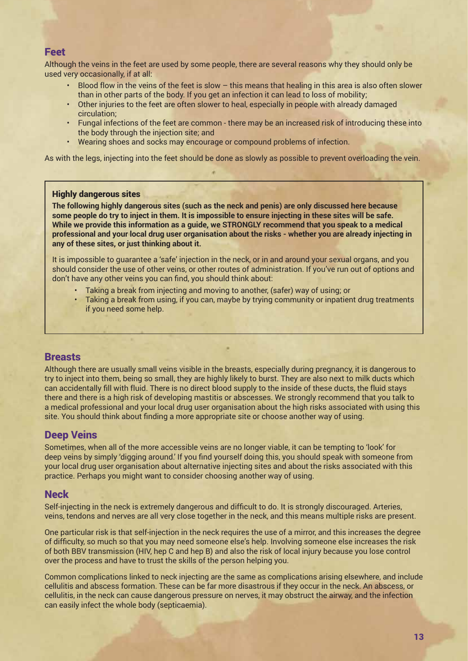#### Feet

Although the veins in the feet are used by some people, there are several reasons why they should only be used very occasionally, if at all:

- Blood flow in the veins of the feet is slow this means that healing in this area is also often slower than in other parts of the body. If you get an infection it can lead to loss of mobility;
- Other injuries to the feet are often slower to heal, especially in people with already damaged circulation;
- Fungal infections of the feet are common there may be an increased risk of introducing these into the body through the injection site; and
- Wearing shoes and socks may encourage or compound problems of infection.

As with the legs, injecting into the feet should be done as slowly as possible to prevent overloading the vein.

#### Highly dangerous sites

**The following highly dangerous sites (such as the neck and penis) are only discussed here because some people do try to inject in them. It is impossible to ensure injecting in these sites will be safe. While we provide this information as a guide, we STRONGLY recommend that you speak to a medical professional and your local drug user organisation about the risks - whether you are already injecting in any of these sites, or just thinking about it.** 

It is impossible to guarantee a 'safe' injection in the neck, or in and around your sexual organs, and you should consider the use of other veins, or other routes of administration. If you've run out of options and don't have any other veins you can find, you should think about:

- Taking a break from injecting and moving to another, (safer) way of using; or
- Taking a break from using, if you can, maybe by trying community or inpatient drug treatments if you need some help.

# **Breasts**

Although there are usually small veins visible in the breasts, especially during pregnancy, it is dangerous to try to inject into them, being so small, they are highly likely to burst. They are also next to milk ducts which can accidentally fill with fluid. There is no direct blood supply to the inside of these ducts, the fluid stays there and there is a high risk of developing mastitis or abscesses. We strongly recommend that you talk to a medical professional and your local drug user organisation about the high risks associated with using this site. You should think about finding a more appropriate site or choose another way of using.

## Deep Veins

Sometimes, when all of the more accessible veins are no longer viable, it can be tempting to 'look' for deep veins by simply 'digging around.' If you find yourself doing this, you should speak with someone from your local drug user organisation about alternative injecting sites and about the risks associated with this practice. Perhaps you might want to consider choosing another way of using.

#### **Neck**

Self-injecting in the neck is extremely dangerous and difficult to do. It is strongly discouraged. Arteries, veins, tendons and nerves are all very close together in the neck, and this means multiple risks are present.

One particular risk is that self-injection in the neck requires the use of a mirror, and this increases the degree of difficulty, so much so that you may need someone else's help. Involving someone else increases the risk of both BBV transmission (HIV, hep C and hep B) and also the risk of local injury because you lose control over the process and have to trust the skills of the person helping you.

Common complications linked to neck injecting are the same as complications arising elsewhere, and include cellulitis and abscess formation. These can be far more disastrous if they occur in the neck. An abscess, or cellulitis, in the neck can cause dangerous pressure on nerves, it may obstruct the airway, and the infection can easily infect the whole body (septicaemia).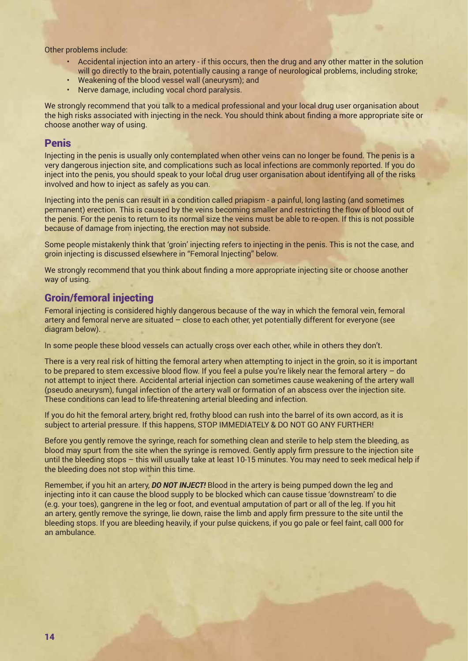Other problems include:

- Accidental injection into an artery if this occurs, then the drug and any other matter in the solution will go directly to the brain, potentially causing a range of neurological problems, including stroke;
- Weakening of the blood vessel wall (aneurysm); and
- Nerve damage, including vocal chord paralysis.

We strongly recommend that you talk to a medical professional and your local drug user organisation about the high risks associated with injecting in the neck. You should think about finding a more appropriate site or choose another way of using.

#### Penis

Injecting in the penis is usually only contemplated when other veins can no longer be found. The penis is a very dangerous injection site, and complications such as local infections are commonly reported. If you do inject into the penis, you should speak to your local drug user organisation about identifying all of the risks involved and how to inject as safely as you can.

Injecting into the penis can result in a condition called priapism - a painful, long lasting (and sometimes permanent) erection. This is caused by the veins becoming smaller and restricting the flow of blood out of the penis. For the penis to return to its normal size the veins must be able to re-open. If this is not possible because of damage from injecting, the erection may not subside.

Some people mistakenly think that 'groin' injecting refers to injecting in the penis. This is not the case, and groin injecting is discussed elsewhere in "Femoral Injecting" below.

We strongly recommend that you think about finding a more appropriate injecting site or choose another way of using.

#### Groin/femoral injecting

Femoral injecting is considered highly dangerous because of the way in which the femoral vein, femoral artery and femoral nerve are situated – close to each other, yet potentially different for everyone (see diagram below).

In some people these blood vessels can actually cross over each other, while in others they don't.

There is a very real risk of hitting the femoral artery when attempting to inject in the groin, so it is important to be prepared to stem excessive blood flow. If you feel a pulse you're likely near the femoral artery – do not attempt to inject there. Accidental arterial injection can sometimes cause weakening of the artery wall (pseudo aneurysm), fungal infection of the artery wall or formation of an abscess over the injection site. These conditions can lead to life-threatening arterial bleeding and infection.

If you do hit the femoral artery, bright red, frothy blood can rush into the barrel of its own accord, as it is subject to arterial pressure. If this happens, STOP IMMEDIATELY & DO NOT GO ANY FURTHER!

Before you gently remove the syringe, reach for something clean and sterile to help stem the bleeding, as blood may spurt from the site when the syringe is removed. Gently apply firm pressure to the injection site until the bleeding stops – this will usually take at least 10-15 minutes. You may need to seek medical help if the bleeding does not stop within this time.

Remember, if you hit an artery, *DO NOT INJECT!* Blood in the artery is being pumped down the leg and injecting into it can cause the blood supply to be blocked which can cause tissue 'downstream' to die (e.g. your toes), gangrene in the leg or foot, and eventual amputation of part or all of the leg. If you hit an artery, gently remove the syringe, lie down, raise the limb and apply firm pressure to the site until the bleeding stops. If you are bleeding heavily, if your pulse quickens, if you go pale or feel faint, call 000 for an ambulance.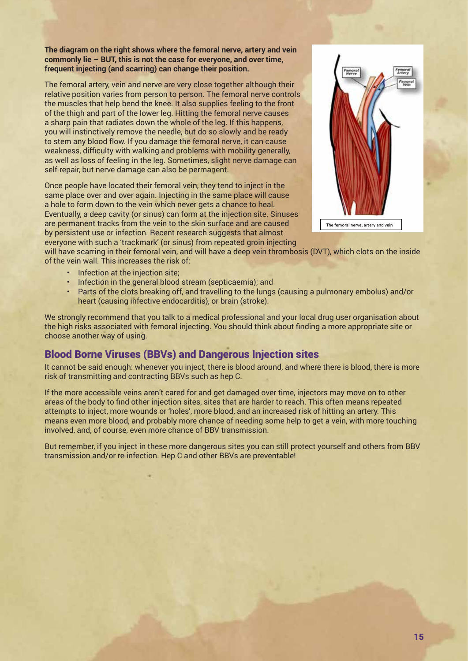**The diagram on the right shows where the femoral nerve, artery and vein commonly lie – BUT, this is not the case for everyone, and over time, frequent injecting (and scarring) can change their position.**

The femoral artery, vein and nerve are very close together although their relative position varies from person to person. The femoral nerve controls the muscles that help bend the knee. It also supplies feeling to the front of the thigh and part of the lower leg. Hitting the femoral nerve causes a sharp pain that radiates down the whole of the leg. If this happens, you will instinctively remove the needle, but do so slowly and be ready to stem any blood flow. If you damage the femoral nerve, it can cause weakness, difficulty with walking and problems with mobility generally, as well as loss of feeling in the leg. Sometimes, slight nerve damage can self-repair, but nerve damage can also be permanent.

Once people have located their femoral vein, they tend to inject in the same place over and over again. Injecting in the same place will cause a hole to form down to the vein which never gets a chance to heal. Eventually, a deep cavity (or sinus) can form at the injection site. Sinuses are permanent tracks from the vein to the skin surface and are caused by persistent use or infection. Recent research suggests that almost



everyone with such a 'trackmark' (or sinus) from repeated groin injecting which is a relative position varies from person. The femoral article position varies from person to person to person. The first from person to perso will have scarring in their femoral vein, and will have a deep vein thrombosis (DVT), which clots on the inside of the vein wall. This increases the risk of: of the lower leg. Hitting the femoral nerve causes a sharp pain that radiates down the whole of this happens,  $\alpha$ 

- Infection at the injection site:  $\mathsf{S}$  on site; remove the needle, but do so slowly and be ready to stem any blood flow. If  $\mathsf{S}$
- **following** nerve, it can cause weak nerve, it can cause with with with with mobility general nerve, it can cause with with with with with with mobility general  $\alpha$  as well as loss of  $\alpha$  as well as loss of  $\alpha$  as loss
- Parts of the clots breaking off, and travelling to the lungs (causing a pulmonary embolus) and/or heart (causing infective endocarditis), or brain (stroke).

we strongly recommend that you talk to a medical professional and your local drug user organisation about the high risks associated with femoral injecting. You should think about finding a more appropriate site or choose another way of using.  $\alpha$  raik to a medical professional and your local drug user organisation about

#### Blood Borne Viruses (BBVs) and Dangerous Injection sites wall. The state of the state of the state of the state o repeated groin injecting will have scarring in their femoral vein, and will have a deep vein thrombosis (DVT), which clots

It cannot be said enough: whenever you inject, there is blood around, and where there is blood, there is more  $\mathsf{risk}$  of transmitting and contracting BBVs such as hep C. The general blood stream (see the general blood stream (see

If the more accessible veins aren't cared for and get damaged over time, injectors may move on to other areas of the body to find other injection sites, sites that are harder to reach. This often means repeated attempts to inject, more wounds or 'holes', more blood, and an increased risk of hitting an artery. This means even more blood, and probably more chance of needing some help to get a vein, with more touching involved, and, of course, even more chance of BBV transmission. l for and get damaged over time, injectoi

But remember, if you inject in these more dangerous sites you can still protect yourself and others from BBV transmission and/or re-infection. Hep C and other BBVs are preventable!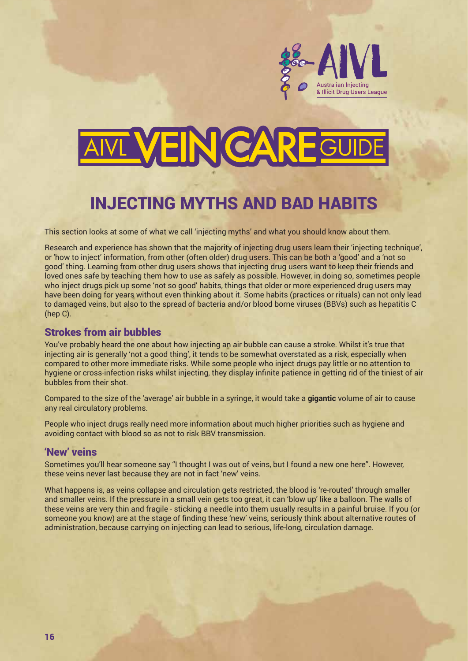

# **VEIN CARE**

# INJECTING MYTHS AND BAD HABITS

This section looks at some of what we call 'injecting myths' and what you should know about them.

Research and experience has shown that the majority of injecting drug users learn their 'injecting technique', or 'how to inject' information, from other (often older) drug users. This can be both a 'good' and a 'not so good' thing. Learning from other drug users shows that injecting drug users want to keep their friends and loved ones safe by teaching them how to use as safely as possible. However, in doing so, sometimes people who inject drugs pick up some 'not so good' habits, things that older or more experienced drug users may have been doing for years without even thinking about it. Some habits (practices or rituals) can not only lead to damaged veins, but also to the spread of bacteria and/or blood borne viruses (BBVs) such as hepatitis C (hep C).

#### Strokes from air bubbles

You've probably heard the one about how injecting an air bubble can cause a stroke. Whilst it's true that injecting air is generally 'not a good thing', it tends to be somewhat overstated as a risk, especially when compared to other more immediate risks. While some people who inject drugs pay little or no attention to hygiene or cross-infection risks whilst injecting, they display infinite patience in getting rid of the tiniest of air bubbles from their shot.

Compared to the size of the 'average' air bubble in a syringe, it would take a **gigantic** volume of air to cause any real circulatory problems.

People who inject drugs really need more information about much higher priorities such as hygiene and avoiding contact with blood so as not to risk BBV transmission.

#### 'New' veins

Sometimes you'll hear someone say "I thought I was out of veins, but I found a new one here". However, these veins never last because they are not in fact 'new' veins.

What happens is, as veins collapse and circulation gets restricted, the blood is 're-routed' through smaller and smaller veins. If the pressure in a small vein gets too great, it can 'blow up' like a balloon. The walls of these veins are very thin and fragile - sticking a needle into them usually results in a painful bruise. If you (or someone you know) are at the stage of finding these 'new' veins, seriously think about alternative routes of administration, because carrying on injecting can lead to serious, life-long, circulation damage.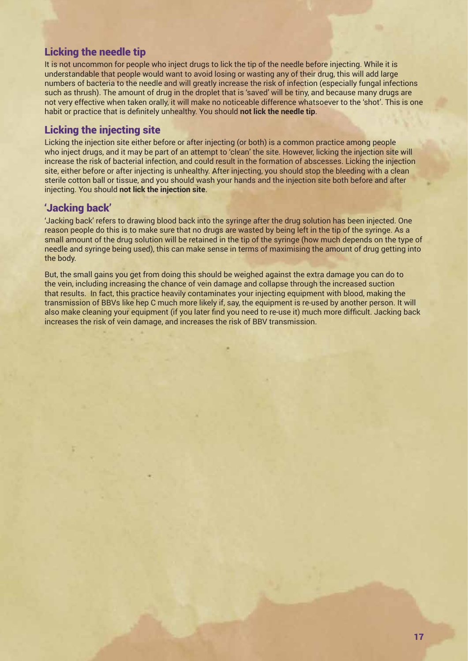# Licking the needle tip

It is not uncommon for people who inject drugs to lick the tip of the needle before injecting. While it is understandable that people would want to avoid losing or wasting any of their drug, this will add large numbers of bacteria to the needle and will greatly increase the risk of infection (especially fungal infections such as thrush). The amount of drug in the droplet that is 'saved' will be tiny, and because many drugs are not very effective when taken orally, it will make no noticeable difference whatsoever to the 'shot'. This is one habit or practice that is definitely unhealthy. You should **not lick the needle tip**.

# Licking the injecting site

Licking the injection site either before or after injecting (or both) is a common practice among people who inject drugs, and it may be part of an attempt to 'clean' the site. However, licking the injection site will increase the risk of bacterial infection, and could result in the formation of abscesses. Licking the injection site, either before or after injecting is unhealthy. After injecting, you should stop the bleeding with a clean sterile cotton ball or tissue, and you should wash your hands and the injection site both before and after injecting. You should **not lick the injection site**.

#### 'Jacking back'

'Jacking back' refers to drawing blood back into the syringe after the drug solution has been injected. One reason people do this is to make sure that no drugs are wasted by being left in the tip of the syringe. As a small amount of the drug solution will be retained in the tip of the syringe (how much depends on the type of needle and syringe being used), this can make sense in terms of maximising the amount of drug getting into the body.

But, the small gains you get from doing this should be weighed against the extra damage you can do to the vein, including increasing the chance of vein damage and collapse through the increased suction that results. In fact, this practice heavily contaminates your injecting equipment with blood, making the transmission of BBVs like hep C much more likely if, say, the equipment is re-used by another person. It will also make cleaning your equipment (if you later find you need to re-use it) much more difficult. Jacking back increases the risk of vein damage, and increases the risk of BBV transmission.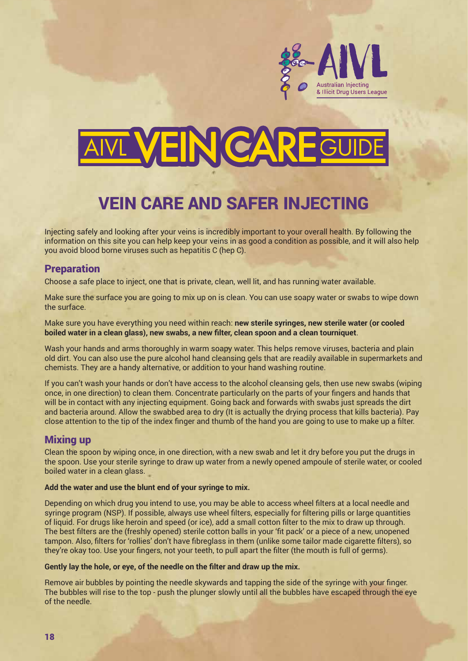

# **VEIN CAR**

# VEIN CARE AND SAFER INJECTING

Injecting safely and looking after your veins is incredibly important to your overall health. By following the information on this site you can help keep your veins in as good a condition as possible, and it will also help you avoid blood borne viruses such as hepatitis C (hep C).

#### **Preparation**

Choose a safe place to inject, one that is private, clean, well lit, and has running water available.

Make sure the surface you are going to mix up on is clean. You can use soapy water or swabs to wipe down the surface.

Make sure you have everything you need within reach: **new sterile syringes, new sterile water (or cooled boiled water in a clean glass), new swabs, a new filter, clean spoon and a clean tourniquet**.

Wash your hands and arms thoroughly in warm soapy water. This helps remove viruses, bacteria and plain old dirt. You can also use the pure alcohol hand cleansing gels that are readily available in supermarkets and chemists. They are a handy alternative, or addition to your hand washing routine.

If you can't wash your hands or don't have access to the alcohol cleansing gels, then use new swabs (wiping once, in one direction) to clean them. Concentrate particularly on the parts of your fingers and hands that will be in contact with any injecting equipment. Going back and forwards with swabs just spreads the dirt and bacteria around. Allow the swabbed area to dry (It is actually the drying process that kills bacteria). Pay close attention to the tip of the index finger and thumb of the hand you are going to use to make up a filter.

## Mixing up

Clean the spoon by wiping once, in one direction, with a new swab and let it dry before you put the drugs in the spoon. Use your sterile syringe to draw up water from a newly opened ampoule of sterile water, or cooled boiled water in a clean glass.

#### **Add the water and use the blunt end of your syringe to mix.**

Depending on which drug you intend to use, you may be able to access wheel filters at a local needle and syringe program (NSP). If possible, always use wheel filters, especially for filtering pills or large quantities of liquid. For drugs like heroin and speed (or ice), add a small cotton filter to the mix to draw up through. The best filters are the (freshly opened) sterile cotton balls in your 'fit pack' or a piece of a new, unopened tampon. Also, filters for 'rollies' don't have fibreglass in them (unlike some tailor made cigarette filters), so they're okay too. Use your fingers, not your teeth, to pull apart the filter (the mouth is full of germs).

#### **Gently lay the hole, or eye, of the needle on the filter and draw up the mix.**

Remove air bubbles by pointing the needle skywards and tapping the side of the syringe with your finger. The bubbles will rise to the top - push the plunger slowly until all the bubbles have escaped through the eye of the needle.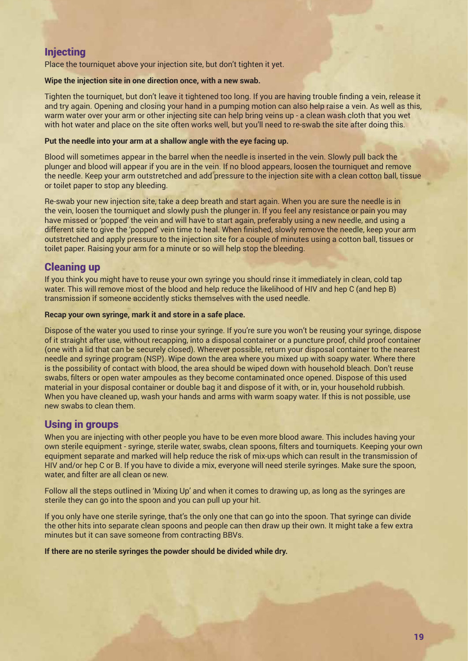# **Injecting**

Place the tourniquet above your injection site, but don't tighten it yet.

#### **Wipe the injection site in one direction once, with a new swab.**

Tighten the tourniquet, but don't leave it tightened too long. If you are having trouble finding a vein, release it and try again. Opening and closing your hand in a pumping motion can also help raise a vein. As well as this, warm water over your arm or other injecting site can help bring veins up - a clean wash cloth that you wet with hot water and place on the site often works well, but you'll need to re-swab the site after doing this.

#### **Put the needle into your arm at a shallow angle with the eye facing up.**

Blood will sometimes appear in the barrel when the needle is inserted in the vein. Slowly pull back the plunger and blood will appear if you are in the vein. If no blood appears, loosen the tourniquet and remove the needle. Keep your arm outstretched and add pressure to the injection site with a clean cotton ball, tissue or toilet paper to stop any bleeding.

Re-swab your new injection site, take a deep breath and start again. When you are sure the needle is in the vein, loosen the tourniquet and slowly push the plunger in. If you feel any resistance or pain you may have missed or 'popped' the vein and will have to start again, preferably using a new needle, and using a different site to give the 'popped' vein time to heal. When finished, slowly remove the needle, keep your arm outstretched and apply pressure to the injection site for a couple of minutes using a cotton ball, tissues or toilet paper. Raising your arm for a minute or so will help stop the bleeding.

# Cleaning up

If you think you might have to reuse your own syringe you should rinse it immediately in clean, cold tap water. This will remove most of the blood and help reduce the likelihood of HIV and hep C (and hep B) transmission if someone accidently sticks themselves with the used needle.

#### **Recap your own syringe, mark it and store in a safe place.**

Dispose of the water you used to rinse your syringe. If you're sure you won't be reusing your syringe, dispose of it straight after use, without recapping, into a disposal container or a puncture proof, child proof container (one with a lid that can be securely closed). Wherever possible, return your disposal container to the nearest needle and syringe program (NSP). Wipe down the area where you mixed up with soapy water. Where there is the possibility of contact with blood, the area should be wiped down with household bleach. Don't reuse swabs, filters or open water ampoules as they become contaminated once opened. Dispose of this used material in your disposal container or double bag it and dispose of it with, or in, your household rubbish. When you have cleaned up, wash your hands and arms with warm soapy water. If this is not possible, use new swabs to clean them.

## Using in groups

When you are injecting with other people you have to be even more blood aware. This includes having your own sterile equipment - syringe, sterile water, swabs, clean spoons, filters and tourniquets. Keeping your own equipment separate and marked will help reduce the risk of mix-ups which can result in the transmission of HIV and/or hep C or B. If you have to divide a mix, everyone will need sterile syringes. Make sure the spoon, water, and filter are all clean or new.

Follow all the steps outlined in 'Mixing Up' and when it comes to drawing up, as long as the syringes are sterile they can go into the spoon and you can pull up your hit.

If you only have one sterile syringe, that's the only one that can go into the spoon. That syringe can divide the other hits into separate clean spoons and people can then draw up their own. It might take a few extra minutes but it can save someone from contracting BBVs.

**If there are no sterile syringes the powder should be divided while dry.**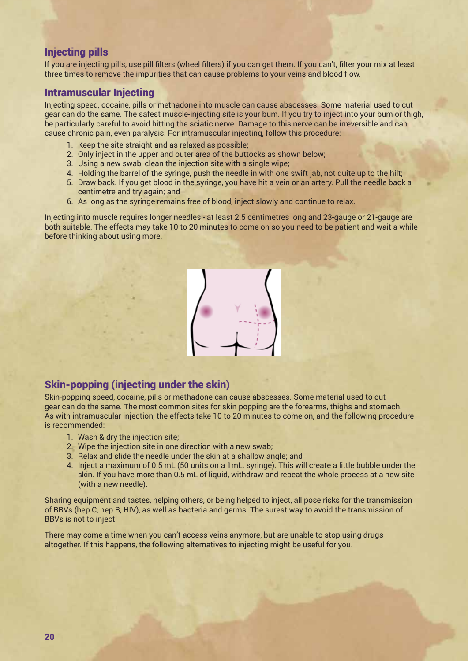# Injecting pills

If you are injecting pills, use pill filters (wheel filters) if you can get them. If you can't, filter your mix at least three times to remove the impurities that can cause problems to your veins and blood flow.

# Intramuscular Injecting

Injecting speed, cocaine, pills or methadone into muscle can cause abscesses. Some material used to cut gear can do the same. The safest muscle-injecting site is your bum. If you try to inject into your bum or thigh, be particularly careful to avoid hitting the sciatic nerve. Damage to this nerve can be irreversible and can cause chronic pain, even paralysis. For intramuscular injecting, follow this procedure:

- 1. Keep the site straight and as relaxed as possible;
- 2. Only inject in the upper and outer area of the buttocks as shown below;
- 3. Using a new swab, clean the injection site with a single wipe;
- 4. Holding the barrel of the syringe, push the needle in with one swift jab, not quite up to the hilt;
- 5. Draw back. If you get blood in the syringe, you have hit a vein or an artery. Pull the needle back a centimetre and try again; and
- 6. As long as the syringe remains free of blood, inject slowly and continue to relax.

Injecting into muscle requires longer needles - at least 2.5 centimetres long and 23-gauge or 21-gauge are both suitable. The effects may take 10 to 20 minutes to come on so you need to be patient and wait a while before thinking about using more.



#### Skin-popping (injecting under the skin) Skin-popping (injecting under the skin) abscesses. Some material used to compute abscending to cut gear can do

Skin-popping speed, cocaine, pills or methadone can cause abscesses. Some material used to cut gear can do the same. The most common sites for skin popping are the forearms, thighs and stomach. As with intramuscular injection, the effects take 10 to 20 minutes to come on, and the following procedure<br>is recommended: is recommended:

- 1. Wash & dry the injection site;
- $2.$  Wipe the injection site in one direction with a new swab;
	- 3. Relax and slide the needle under the skin at a shallow angle; and
- 4. Inject a maximum of 0.5 mL (50 units on a 1mL. syringe). This will create a little bubble under the skin. If you have more than 0.5 mL of liquid, withdraw and repeat the whole process at a new site skin. If you have more than 0.5 mL of liquid, withdraw and repeat the whole process at a new site (with a new needle).

Sharing equipment and tastes, helping others, or being helped to inject, all pose risks for the transmission of BBVs (hep C, hep B, HIV), as well as bacteria and germs. The surest way to avoid the transmission of **not to inject.** BBVs is not to inject. **Sharing equipment and tastes, helping others, or being helped to inject, all pose risks for the transmission of**  Sharing equipment and tastes, helping others, or being helped to inject, all pose risks for the transmission

There may come a time when you can't access veins anymore, but are unable to stop using drugs altogether. If this happens, the following alternatives to injecting might be useful for you. **this happens, the following alternatives to injecting might be useful for you.**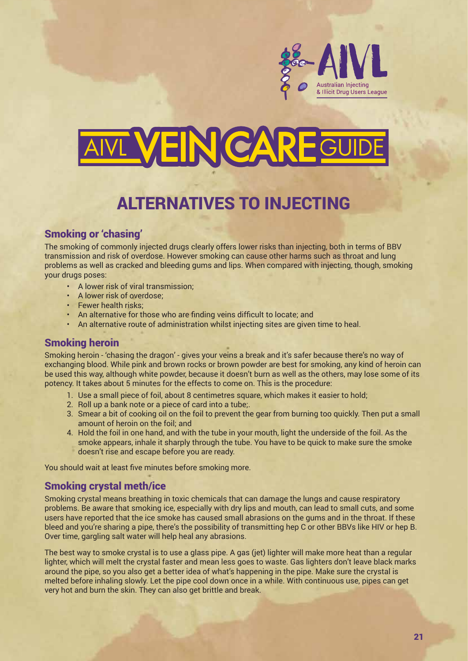

# VEINCARE

# ALTERNATIVES TO INJECTING

# Smoking or 'chasing'

The smoking of commonly injected drugs clearly offers lower risks than injecting, both in terms of BBV transmission and risk of overdose. However smoking can cause other harms such as throat and lung problems as well as cracked and bleeding gums and lips. When compared with injecting, though, smoking your drugs poses:

- A lower risk of viral transmission;
- A lower risk of overdose;
- Fewer health risks;
- An alternative for those who are finding veins difficult to locate; and
- An alternative route of administration whilst injecting sites are given time to heal.

## Smoking heroin

Smoking heroin - 'chasing the dragon' - gives your veins a break and it's safer because there's no way of exchanging blood. While pink and brown rocks or brown powder are best for smoking, any kind of heroin can be used this way, although white powder, because it doesn't burn as well as the others, may lose some of its potency. It takes about 5 minutes for the effects to come on. This is the procedure:

- 1. Use a small piece of foil, about 8 centimetres square, which makes it easier to hold;
- 2. Roll up a bank note or a piece of card into a tube;.
- 3. Smear a bit of cooking oil on the foil to prevent the gear from burning too quickly. Then put a small amount of heroin on the foil; and
- 4. Hold the foil in one hand, and with the tube in your mouth, light the underside of the foil. As the smoke appears, inhale it sharply through the tube. You have to be quick to make sure the smoke doesn't rise and escape before you are ready.

You should wait at least five minutes before smoking more.

## Smoking crystal meth/ice

Smoking crystal means breathing in toxic chemicals that can damage the lungs and cause respiratory problems. Be aware that smoking ice, especially with dry lips and mouth, can lead to small cuts, and some users have reported that the ice smoke has caused small abrasions on the gums and in the throat. If these bleed and you're sharing a pipe, there's the possibility of transmitting hep C or other BBVs like HIV or hep B. Over time, gargling salt water will help heal any abrasions.

The best way to smoke crystal is to use a glass pipe. A gas (jet) lighter will make more heat than a regular lighter, which will melt the crystal faster and mean less goes to waste. Gas lighters don't leave black marks around the pipe, so you also get a better idea of what's happening in the pipe. Make sure the crystal is melted before inhaling slowly. Let the pipe cool down once in a while. With continuous use, pipes can get very hot and burn the skin. They can also get brittle and break.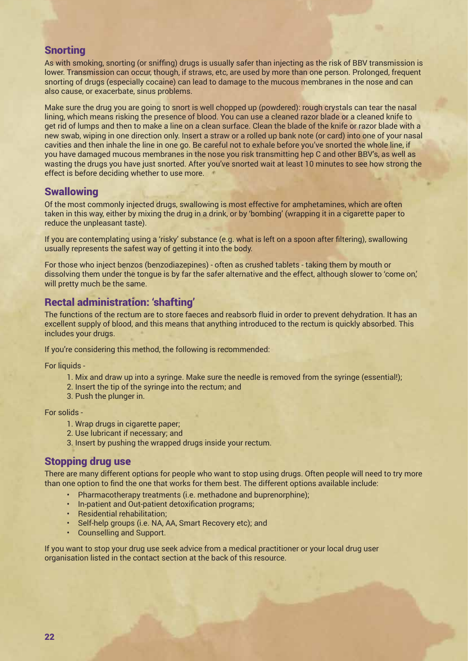#### **Snorting**

As with smoking, snorting (or sniffing) drugs is usually safer than injecting as the risk of BBV transmission is lower. Transmission can occur, though, if straws, etc, are used by more than one person. Prolonged, frequent snorting of drugs (especially cocaine) can lead to damage to the mucous membranes in the nose and can also cause, or exacerbate, sinus problems.

Make sure the drug you are going to snort is well chopped up (powdered): rough crystals can tear the nasal lining, which means risking the presence of blood. You can use a cleaned razor blade or a cleaned knife to get rid of lumps and then to make a line on a clean surface. Clean the blade of the knife or razor blade with a new swab, wiping in one direction only. Insert a straw or a rolled up bank note (or card) into one of your nasal cavities and then inhale the line in one go. Be careful not to exhale before you've snorted the whole line, if you have damaged mucous membranes in the nose you risk transmitting hep C and other BBV's, as well as wasting the drugs you have just snorted. After you've snorted wait at least 10 minutes to see how strong the effect is before deciding whether to use more.

# **Swallowing**

Of the most commonly injected drugs, swallowing is most effective for amphetamines, which are often taken in this way, either by mixing the drug in a drink, or by 'bombing' (wrapping it in a cigarette paper to reduce the unpleasant taste).

If you are contemplating using a 'risky' substance (e.g. what is left on a spoon after filtering), swallowing usually represents the safest way of getting it into the body.

For those who inject benzos (benzodiazepines) - often as crushed tablets - taking them by mouth or dissolving them under the tongue is by far the safer alternative and the effect, although slower to 'come on,' will pretty much be the same.

# Rectal administration: 'shafting'

The functions of the rectum are to store faeces and reabsorb fluid in order to prevent dehydration. It has an excellent supply of blood, and this means that anything introduced to the rectum is quickly absorbed. This includes your drugs.

If you're considering this method, the following is recommended:

For liquids -

- 1. Mix and draw up into a syringe. Make sure the needle is removed from the syringe (essential!);
- 2. Insert the tip of the syringe into the rectum; and
- 3. Push the plunger in.

For solids -

- 1. Wrap drugs in cigarette paper;
- 2. Use lubricant if necessary; and
- 3. Insert by pushing the wrapped drugs inside your rectum.

## Stopping drug use

There are many different options for people who want to stop using drugs. Often people will need to try more than one option to find the one that works for them best. The different options available include:

- Pharmacotherapy treatments (i.e. methadone and buprenorphine);
- In-patient and Out-patient detoxification programs;
- Residential rehabilitation;
- Self-help groups (i.e. NA, AA, Smart Recovery etc); and
- Counselling and Support.

If you want to stop your drug use seek advice from a medical practitioner or your local drug user organisation listed in the contact section at the back of this resource.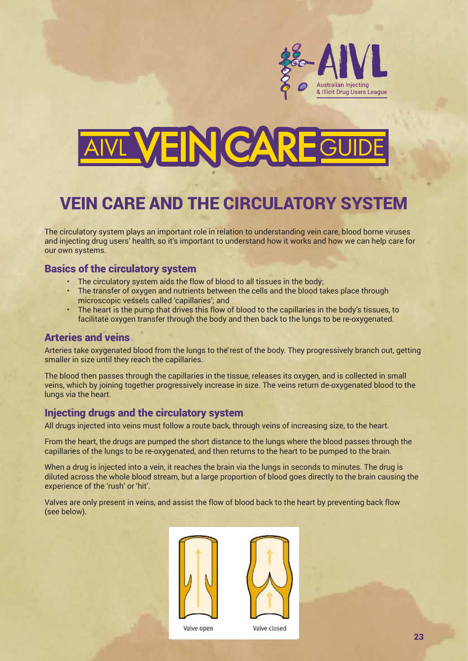

# **VEIN CAR**

# VEIN CARE AND THE CIRCULATORY SYSTEM

The circulatory system plays an important role in relation to understanding vein care, blood borne viruses and injecting drug users' health, so it's important to understand how it works and how we can help care for our own systems.

#### drug users of the circulatory system and how we can help care for our own systems. The care for our own systems The circulatory system plays an important role in relation to understanding vein care, blood borne viruses and injecting

- The circulatory system aids the flow of blood to all tissues in the body;
- The transfer of oxygen and nutrients between the cells and the blood takes place through **basic of the circulatory system** microscopic vessels called 'capillaries'; and
	- rincroscopic vessels called capillaties, and<br>• The heart is the pump that drives this flow of blood to the capillaries in the body's tissues, to facilitate oxygen transfer through the body and then back to the lungs to be re-oxygenated.

#### exteries and veins that drives the pump that drives the pump that drives the pump that drives the body's tissues, the pump that drives the body's tissues, to facilitate oxygen the body's tissues, to facilitate oxygen the b called 'capillaries'.

Arteries take oxygenated blood from the lungs to the rest of the body. They progressively branch out, getting smaller in size until they reach the capillaries.

The blood then passes through the capillaries in the tissue, releases its oxygen, and is collected in small veins, which by joining together progressively increase in size. The veins return de-oxygenated blood to the lungs via the heart. The blood through the capital right through the tissue, releases its oxygen, and is collected in small veins, which by  $\alpha$ 

# injecting drugs and the circulatory system in the veins return de-oxygenated blood to the lungs via the lungs v

All drugs injected into veins must follow a route back, through veins of increasing size, to the heart.

From the heart, the drugs are pumped the short distance to the lungs where the blood passes through the capillaries of the lungs to be re-oxygenated, and then returns to the heart to be pumped to the brain.

When a drug is injected into a vein, it reaches the brain via the lungs in seconds to minutes. The drug is diluted across the whole blood stream, but a large proportion of blood goes directly to the brain causing the<br>experience of the 'rush' or 'bit' experience of the 'rush' or 'hit'.  $t_{\rm s}$  behavior of the bush of blood goes directly to the experience of the experience of the  $t_{\rm s}$ 

Valves are only present in veins, and assist the flow of blood back to the heart by preventing back flow (see below). Valves are only present in veins, and assist the flow of blood back to the heart by preventing back flow (see below).





Valve open

Valve closed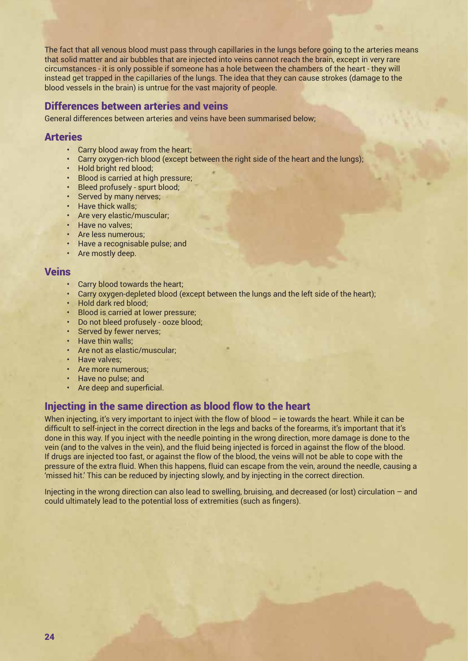The fact that all venous blood must pass through capillaries in the lungs before going to the arteries means that solid matter and air bubbles that are injected into veins cannot reach the brain, except in very rare circumstances - it is only possible if someone has a hole between the chambers of the heart - they will instead get trapped in the capillaries of the lungs. The idea that they can cause strokes (damage to the blood vessels in the brain) is untrue for the vast majority of people.

## Differences between arteries and veins

General differences between arteries and veins have been summarised below;

#### **Arteries**

- Carry blood away from the heart;
- Carry oxygen-rich blood (except between the right side of the heart and the lungs);
- Hold bright red blood;
- Blood is carried at high pressure;
- Bleed profusely spurt blood;
- Served by many nerves;
- Have thick walls;
- Are very elastic/muscular;
- Have no valves;
- Are less numerous:
- Have a recognisable pulse; and
- Are mostly deep.

#### Veins

- Carry blood towards the heart;
- Carry oxygen-depleted blood (except between the lungs and the left side of the heart);
- Hold dark red blood;
- Blood is carried at lower pressure;
- Do not bleed profusely ooze blood;
- Served by fewer nerves;
- Have thin walls:
- Are not as elastic/muscular;
- Have valves;
- Are more numerous;
- Have no pulse; and
- Are deep and superficial.

## Injecting in the same direction as blood flow to the heart

When injecting, it's very important to inject with the flow of blood – ie towards the heart. While it can be difficult to self-inject in the correct direction in the legs and backs of the forearms, it's important that it's done in this way. If you inject with the needle pointing in the wrong direction, more damage is done to the vein (and to the valves in the vein), and the fluid being injected is forced in against the flow of the blood. If drugs are injected too fast, or against the flow of the blood, the veins will not be able to cope with the pressure of the extra fluid. When this happens, fluid can escape from the vein, around the needle, causing a 'missed hit.' This can be reduced by injecting slowly, and by injecting in the correct direction.

Injecting in the wrong direction can also lead to swelling, bruising, and decreased (or lost) circulation – and could ultimately lead to the potential loss of extremities (such as fingers).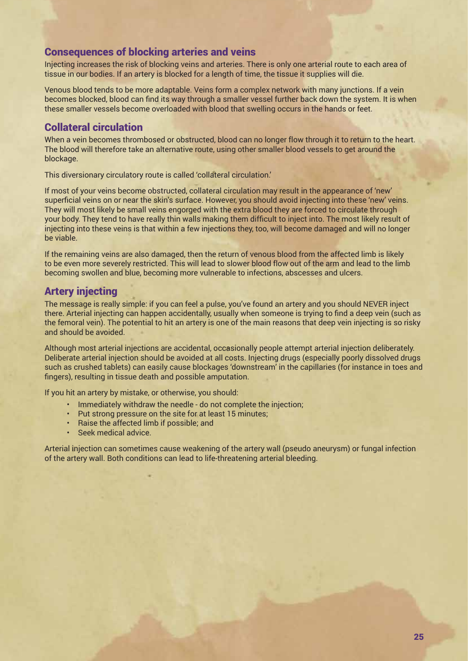#### Consequences of blocking arteries and veins

Injecting increases the risk of blocking veins and arteries. There is only one arterial route to each area of tissue in our bodies. If an artery is blocked for a length of time, the tissue it supplies will die.

Venous blood tends to be more adaptable. Veins form a complex network with many junctions. If a vein becomes blocked, blood can find its way through a smaller vessel further back down the system. It is when these smaller vessels become overloaded with blood that swelling occurs in the hands or feet.

## Collateral circulation

When a vein becomes thrombosed or obstructed, blood can no longer flow through it to return to the heart. The blood will therefore take an alternative route, using other smaller blood vessels to get around the blockage.

This diversionary circulatory route is called 'collateral circulation.'

If most of your veins become obstructed, collateral circulation may result in the appearance of 'new' superficial veins on or near the skin's surface. However, you should avoid injecting into these 'new' veins. They will most likely be small veins engorged with the extra blood they are forced to circulate through your body. They tend to have really thin walls making them difficult to inject into. The most likely result of injecting into these veins is that within a few injections they, too, will become damaged and will no longer be viable.

If the remaining veins are also damaged, then the return of venous blood from the affected limb is likely to be even more severely restricted. This will lead to slower blood flow out of the arm and lead to the limb becoming swollen and blue, becoming more vulnerable to infections, abscesses and ulcers.

# Artery injecting

The message is really simple: if you can feel a pulse, you've found an artery and you should NEVER inject there. Arterial injecting can happen accidentally, usually when someone is trying to find a deep vein (such as the femoral vein). The potential to hit an artery is one of the main reasons that deep vein injecting is so risky and should be avoided.

Although most arterial injections are accidental, occasionally people attempt arterial injection deliberately. Deliberate arterial injection should be avoided at all costs. Injecting drugs (especially poorly dissolved drugs such as crushed tablets) can easily cause blockages 'downstream' in the capillaries (for instance in toes and fingers), resulting in tissue death and possible amputation.

If you hit an artery by mistake, or otherwise, you should:

- Immediately withdraw the needle do not complete the injection;
- Put strong pressure on the site for at least 15 minutes;
- Raise the affected limb if possible; and
- Seek medical advice.

Arterial injection can sometimes cause weakening of the artery wall (pseudo aneurysm) or fungal infection of the artery wall. Both conditions can lead to life-threatening arterial bleeding.